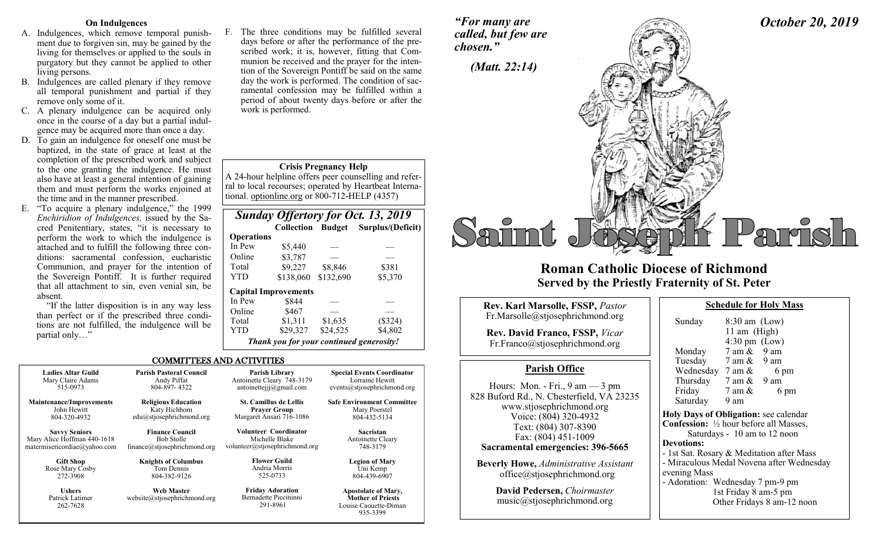#### **On Indulgences**

- A. Indulgences, which remove temporal punishment due to forgiven sin, may be gained by the living for themselves or applied to the souls in purgatory but they cannot be applied to other living persons.
- B. Indulgences are called plenary if they remove all temporal punishment and partial if they remove only some of it.
- C. A plenary indulgence can be acquired only once in the course of a day but a partial indulgence may be acquired more than once a day.
- D. To gain an indulgence for oneself one must be baptized, in the state of grace at least at the completion of the prescribed work and subject to the one granting the indulgence. He must also have at least a general intention of gaining them and must perform the works enjoined at the time and in the manner prescribed.
- E. "To acquire a plenary indulgence," the 1999 *Enchiridion of Indulgences,* issued by the Sacred Penitentiary, states, "it is necessary to perform the work to which the indulgence is attached and to fulfill the following three conditions: sacramental confession, eucharistic Communion, and prayer for the intention of the Sovereign Pontiff. It is further required that all attachment to sin, even venial sin, be absent.

"If the latter disposition is in any way less than perfect or if the prescribed three conditions are not fulfilled, the indulgence will be partial only…"

F. The three conditions may be fulfilled several days before or after the performance of the prescribed work; it is, however, fitting that Communion be received and the prayer for the intention of the Sovereign Pontiff be said on the same day the work is performed. The condition of sacramental confession may be fulfilled within a period of about twenty days before or after the work is performed.

*"For many are called, but few are chosen."*



# **Roman Catholic Diocese of Richmond Served by the Priestly Fraternity of St. Peter**

| <b>Rev. Karl Marsolle, FSSP, Pastor</b>                                                                                    | <b>Schedule for Holy Mass</b>                                                                                                   |
|----------------------------------------------------------------------------------------------------------------------------|---------------------------------------------------------------------------------------------------------------------------------|
| Fr.Marsolle@stjosephrichmond.org                                                                                           | Sunday<br>$8:30$ am (Low)                                                                                                       |
| <b>Rev. David Franco, FSSP, Vicar</b><br>Fr.Franco@stjosephrichmond.org                                                    | 11 am (High)<br>$4:30 \text{ pm}$ (Low)<br>$7 \text{ am } \& 9 \text{ am}$<br>Monday                                            |
| <b>Parish Office</b>                                                                                                       | Tuesday 7 am & 9 am<br>Wednesday $7 \text{ am } \& 6 \text{ pm}$                                                                |
| Hours: Mon. - Fri., $9 \text{ am} - 3 \text{ pm}$<br>828 Buford Rd., N. Chesterfield, VA 23235<br>www.stjosephrichmond.org | Thursday $7 \text{ am } \& 9 \text{ am}$<br>Friday $7 \text{ am } \&$<br>6 pm<br>Saturday<br>9 am                               |
| Voice: (804) 320-4932<br>Text: (804) 307-8390<br>Fax: (804) 451-1009                                                       | Holy Days of Obligation: see calenda<br><b>Confession:</b> $\frac{1}{2}$ hour before all Masses<br>Saturdays - 10 am to 12 noon |
| Sacramental emergencies: 396-5665                                                                                          | <b>Devotions:</b><br>- 1st Sat. Rosary & Meditation after M                                                                     |
| <b>Beverly Howe, Administrative Assistant</b><br>office@stjosephrichmond.org                                               | - Miraculous Medal Novena after Wed<br>evening Mass<br>- Adoration: Wednesday 7 pm-9 pm                                         |
| David Pedersen, Choirmaster<br>music@stjosephrichmond.org                                                                  | 1st Friday 8 am-5 pm<br>Other Fridavs 8 am-12 no                                                                                |

| Sunday                                         | $8:30$ am (Low)                 |                                           |  |
|------------------------------------------------|---------------------------------|-------------------------------------------|--|
| 11 am $(High)$                                 |                                 |                                           |  |
|                                                | $4:30 \text{ pm}$ (Low)         |                                           |  |
| Monday                                         | $7 \text{ am } \& 9 \text{ am}$ |                                           |  |
| Tuesday                                        | $7$ am $\&$ 9 am                |                                           |  |
| Wednesday $7 \text{ am } \&$                   |                                 | $6 \text{ pm}$                            |  |
| Thursday 7 am & 9 am                           |                                 |                                           |  |
| Friday                                         | $7 \text{ am } \&$              | 6 pm                                      |  |
| Saturday 9 am                                  |                                 |                                           |  |
| Holy Days of Obligation: see calendar          |                                 |                                           |  |
| <b>Confession:</b> 1/2 hour before all Masses, |                                 |                                           |  |
|                                                | Saturdays - 10 am to 12 noon    |                                           |  |
| <b>Devotions:</b>                              |                                 |                                           |  |
| - 1st Sat. Rosary & Meditation after Mass      |                                 |                                           |  |
|                                                |                                 | - Miraculous Medal Novena after Wednesday |  |
| evening Mass                                   |                                 |                                           |  |
| - Adoration: Wednesday 7 pm-9 pm               |                                 |                                           |  |
| 1st Friday 8 am-5 pm                           |                                 |                                           |  |
| Other Fridays 8 am-12 noon                     |                                 |                                           |  |

*October 20, 2019*

# **Crisis Pregnancy Help**

A 24-hour helpline offers peer counselling and referral to local recourses; operated by Heartbeat International. optionline.org or 800-712-HELP (4357)

| <b>Sunday Offertory for Oct. 13, 2019</b> |                             |           |                                     |  |
|-------------------------------------------|-----------------------------|-----------|-------------------------------------|--|
|                                           |                             |           | Collection Budget Surplus/(Deficit) |  |
| <b>Operations</b>                         |                             |           |                                     |  |
| In Pew                                    | \$5,440                     |           |                                     |  |
| Online                                    | \$3,787                     |           |                                     |  |
| Total                                     | \$9,227                     | \$8,846   | \$381                               |  |
| <b>YTD</b>                                | \$138,060                   | \$132,690 | \$5,370                             |  |
|                                           | <b>Capital Improvements</b> |           |                                     |  |
| In Pew                                    | \$844                       |           |                                     |  |
| Online                                    | \$467                       |           |                                     |  |
| Total                                     | \$1,311                     | \$1,635   | (\$324)                             |  |
| YTD                                       | \$29,327                    | \$24,525  | \$4,802                             |  |
| Thank you for your continued generosity!  |                             |           |                                     |  |

935-3399

#### COMMITTEES AND ACTIVITIES

| <b>Ladies Altar Guild</b>                    | <b>Parish Pastoral Council</b>                    | Parish Library                                               | <b>Special Events Coordinator</b>                                               |
|----------------------------------------------|---------------------------------------------------|--------------------------------------------------------------|---------------------------------------------------------------------------------|
| Mary Claire Adams                            | Andy Piffat                                       | Antoinette Cleary 748-3179                                   | Lorraine Hewitt                                                                 |
| 515-0973                                     | 804-897-4322                                      | antoinettejjj $@g$ mail.com                                  | events@stjosephrichmond.org                                                     |
| <b>Maintenance/Improvements</b>              | <b>Religious Education</b>                        | <b>St. Camillus de Lellis</b>                                | <b>Safe Environment Committee</b>                                               |
| John Hewitt                                  | Katy Hichborn                                     | <b>Prayer Group</b>                                          | Mary Poerstel                                                                   |
| 804-320-4932                                 | edu@stjosephrichmond.org                          | Margaret Ansari 716-1086                                     | 804-432-5134                                                                    |
| <b>Savvy Seniors</b>                         | <b>Finance Council</b>                            | <b>Volunteer Coordinator</b>                                 | Sacristan                                                                       |
| Mary Alice Hoffman 440-1618                  | <b>Bob Stolle</b>                                 | Michelle Blake                                               | Antoinette Cleary                                                               |
| matermisericordiae@yahoo.com                 | finance@stjosephrichmond.org                      | volunteer@stjosephrichmond.org                               | 748-3179                                                                        |
| <b>Gift Shop</b>                             | <b>Knights of Columbus</b>                        | <b>Flower Guild</b>                                          | <b>Legion of Mary</b>                                                           |
| Rose Mary Cosby                              | Tom Dennis                                        | Andria Morris                                                | Uni Kemp                                                                        |
| 272-3908                                     | 804-382-9126                                      | 525-0733                                                     | 804-439-6907                                                                    |
| <b>Ushers</b><br>Patrick Latimer<br>262-7628 | <b>Web Master</b><br>website@stjosephrichmond.org | <b>Friday Adoration</b><br>Bernadette Piccininni<br>291-8961 | <b>Apostolate of Mary,</b><br><b>Mother of Priests</b><br>Louise Caouette-Diman |